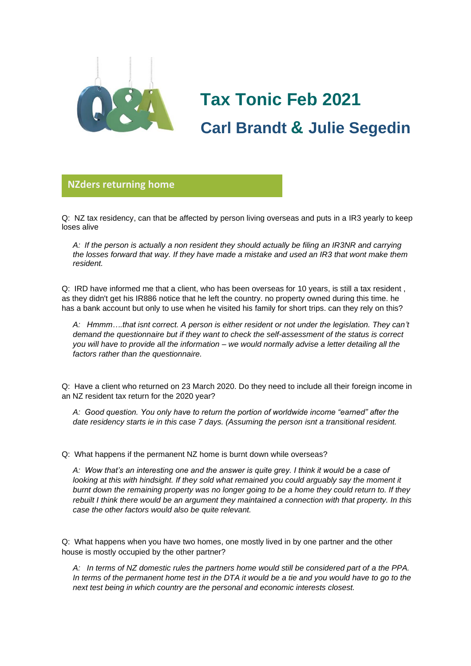

# **Tax Tonic Feb 2021 Carl Brandt & Julie Segedin**

#### **NZders returning home**

Q: NZ tax residency, can that be affected by person living overseas and puts in a IR3 yearly to keep **glorio**loses alive

*A: If the person is actually a non resident they should actually be filing an IR3NR and carrying the losses forward that way. If they have made a mistake and used an IR3 that wont make them resident.*

Q: IRD have informed me that a client, who has been overseas for 10 years, is still a tax resident , as they didn't get his IR886 notice that he left the country. no property owned during this time. he has a bank account but only to use when he visited his family for short trips. can they rely on this?

*A: Hmmm….that isnt correct. A person is either resident or not under the legislation. They can't demand the questionnaire but if they want to check the self-assessment of the status is correct you will have to provide all the information – we would normally advise a letter detailing all the factors rather than the questionnaire.* 

Q: Have a client who returned on 23 March 2020. Do they need to include all their foreign income in an NZ resident tax return for the 2020 year?

*A: Good question. You only have to return the portion of worldwide income "earned" after the date residency starts ie in this case 7 days. (Assuming the person isnt a transitional resident.*

Q: What happens if the permanent NZ home is burnt down while overseas?

*A: Wow that's an interesting one and the answer is quite grey. I think it would be a case of looking at this with hindsight. If they sold what remained you could arguably say the moment it burnt down the remaining property was no longer going to be a home they could return to. If they rebuilt I think there would be an argument they maintained a connection with that property. In this case the other factors would also be quite relevant.*

Q: What happens when you have two homes, one mostly lived in by one partner and the other house is mostly occupied by the other partner?

*A: In terms of NZ domestic rules the partners home would still be considered part of a the PPA. In terms of the permanent home test in the DTA it would be a tie and you would have to go to the next test being in which country are the personal and economic interests closest.*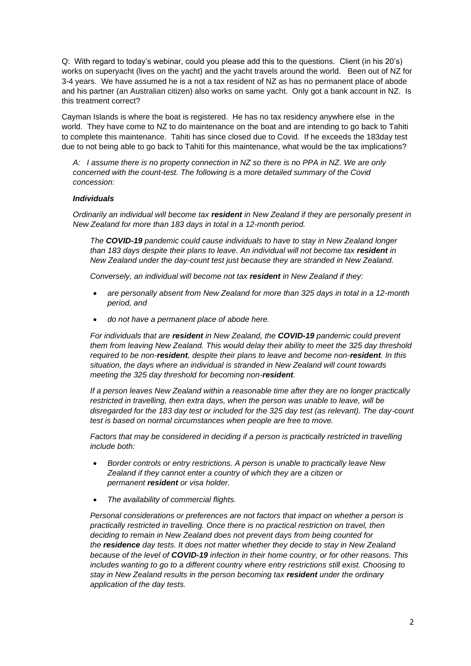Q: With regard to today's webinar, could you please add this to the questions. Client (in his 20's) works on superyacht (lives on the yacht) and the yacht travels around the world. Been out of NZ for 3-4 years. We have assumed he is a not a tax resident of NZ as has no permanent place of abode and his partner (an Australian citizen) also works on same yacht. Only got a bank account in NZ. Is this treatment correct?

Cayman Islands is where the boat is registered. He has no tax residency anywhere else in the world. They have come to NZ to do maintenance on the boat and are intending to go back to Tahiti to complete this maintenance. Tahiti has since closed due to Covid. If he exceeds the 183day test due to not being able to go back to Tahiti for this maintenance, what would be the tax implications?

*A: I assume there is no property connection in NZ so there is no PPA in NZ. We are only concerned with the count-test. The following is a more detailed summary of the Covid concession:*

#### *Individuals*

*Ordinarily an individual will become tax resident in New Zealand if they are personally present in New Zealand for more than 183 days in total in a 12-month period.*

*The COVID-19 pandemic could cause individuals to have to stay in New Zealand longer than 183 days despite their plans to leave. An individual will not become tax resident in New Zealand under the day-count test just because they are stranded in New Zealand.*

*Conversely, an individual will become not tax resident in New Zealand if they:*

- *are personally absent from New Zealand for more than 325 days in total in a 12-month period, and*
- *do not have a permanent place of abode here.*

*For individuals that are resident in New Zealand, the COVID-19 pandemic could prevent them from leaving New Zealand. This would delay their ability to meet the 325 day threshold required to be non-resident, despite their plans to leave and become non-resident. In this situation, the days where an individual is stranded in New Zealand will count towards meeting the 325 day threshold for becoming non-resident.*

*If a person leaves New Zealand within a reasonable time after they are no longer practically restricted in travelling, then extra days, when the person was unable to leave, will be disregarded for the 183 day test or included for the 325 day test (as relevant). The day-count test is based on normal circumstances when people are free to move.*

*Factors that may be considered in deciding if a person is practically restricted in travelling include both:*

- *Border controls or entry restrictions. A person is unable to practically leave New Zealand if they cannot enter a country of which they are a citizen or permanent resident or visa holder.*
- *The availability of commercial flights.*

*Personal considerations or preferences are not factors that impact on whether a person is practically restricted in travelling. Once there is no practical restriction on travel, then deciding to remain in New Zealand does not prevent days from being counted for the residence day tests. It does not matter whether they decide to stay in New Zealand because of the level of COVID-19 infection in their home country, or for other reasons. This includes wanting to go to a different country where entry restrictions still exist. Choosing to stay in New Zealand results in the person becoming tax resident under the ordinary application of the day tests.*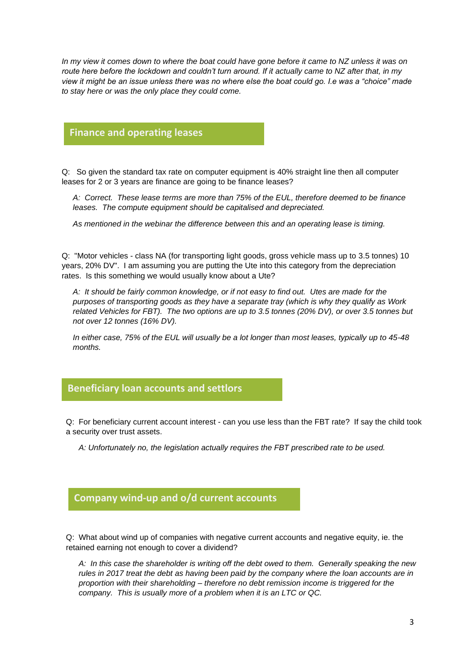*In my view it comes down to where the boat could have gone before it came to NZ unless it was on route here before the lockdown and couldn't turn around. If it actually came to NZ after that, in my view it might be an issue unless there was no where else the boat could go. I.e was a "choice" made to stay here or was the only place they could come.*

### **Finance and operating leases**

Q: So given the standard tax rate on computer equipment is 40% straight line then all computer leases for 2 or 3 years are finance are going to be finance leases?

*A: Correct. These lease terms are more than 75% of the EUL, therefore deemed to be finance leases. The compute equipment should be capitalised and depreciated.*

*As mentioned in the webinar the difference between this and an operating lease is timing.*

Q: "Motor vehicles - class NA (for transporting light goods, gross vehicle mass up to 3.5 tonnes) 10 years, 20% DV". I am assuming you are putting the Ute into this category from the depreciation rates. Is this something we would usually know about a Ute?

*A: It should be fairly common knowledge, or if not easy to find out. Utes are made for the purposes of transporting goods as they have a separate tray (which is why they qualify as Work related Vehicles for FBT). The two options are up to 3.5 tonnes (20% DV), or over 3.5 tonnes but not over 12 tonnes (16% DV).*

*In either case, 75% of the EUL will usually be a lot longer than most leases, typically up to 45-48 months.*

#### **Beneficiary loan accounts and settlors**

Q: For beneficiary current account interest - can you use less than the FBT rate? If say the child took **glorio** a security over trust assets.

*A: Unfortunately no, the legislation actually requires the FBT prescribed rate to be used.*

## **Company wind-up and o/d current accounts**

Q: What about wind up of companies with negative current accounts and negative equity, ie. the retained earning not enough to cover a dividend?

*A: In this case the shareholder is writing off the debt owed to them. Generally speaking the new rules in 2017 treat the debt as having been paid by the company where the loan accounts are in proportion with their shareholding – therefore no debt remission income is triggered for the company. This is usually more of a problem when it is an LTC or QC.*